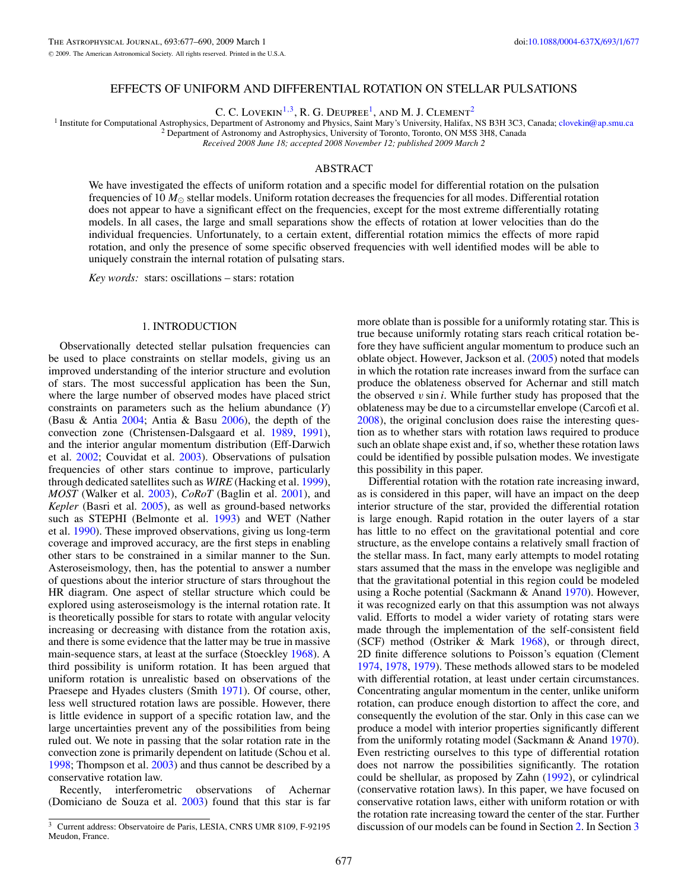# EFFECTS OF UNIFORM AND DIFFERENTIAL ROTATION ON STELLAR PULSATIONS

C. C. Lovekin<sup>1,3</sup>, R. G. Deupree<sup>1</sup>, and M. J. Clement<sup>2</sup>

<sup>1</sup> Institute for Computational Astrophysics, Department of Astronomy and Physics, Saint Mary's University, Halifax, NS B3H 3C3, Canada; [clovekin@ap.smu.ca](mailto:clovekin@ap.smu.ca)<br><sup>2</sup> Department of Astronomy and Astrophysics, University of Toron

*Received 2008 June 18; accepted 2008 November 12; published 2009 March 2*

## ABSTRACT

We have investigated the effects of uniform rotation and a specific model for differential rotation on the pulsation frequencies of 10  $M_{\odot}$  stellar models. Uniform rotation decreases the frequencies for all modes. Differential rotation does not appear to have a significant effect on the frequencies, except for the most extreme differentially rotating models. In all cases, the large and small separations show the effects of rotation at lower velocities than do the individual frequencies. Unfortunately, to a certain extent, differential rotation mimics the effects of more rapid rotation, and only the presence of some specific observed frequencies with well identified modes will be able to uniquely constrain the internal rotation of pulsating stars.

*Key words:* stars: oscillations – stars: rotation

## 1. INTRODUCTION

Observationally detected stellar pulsation frequencies can be used to place constraints on stellar models, giving us an improved understanding of the interior structure and evolution of stars. The most successful application has been the Sun, where the large number of observed modes have placed strict constraints on parameters such as the helium abundance (*Y*) (Basu & Antia [2004;](#page-13-0) Antia & Basu [2006\)](#page-13-0), the depth of the convection zone (Christensen-Dalsgaard et al. [1989,](#page-13-0) [1991\)](#page-13-0), and the interior angular momentum distribution (Eff-Darwich et al. [2002;](#page-13-0) Couvidat et al. [2003\)](#page-13-0). Observations of pulsation frequencies of other stars continue to improve, particularly through dedicated satellites such as *WIRE* (Hacking et al. [1999\)](#page-13-0), *MOST* (Walker et al. [2003\)](#page-13-0), *CoRoT* (Baglin et al. [2001\)](#page-13-0), and *Kepler* (Basri et al. [2005\)](#page-13-0), as well as ground-based networks such as STEPHI (Belmonte et al. [1993\)](#page-13-0) and WET (Nather et al. [1990\)](#page-13-0). These improved observations, giving us long-term coverage and improved accuracy, are the first steps in enabling other stars to be constrained in a similar manner to the Sun. Asteroseismology, then, has the potential to answer a number of questions about the interior structure of stars throughout the HR diagram. One aspect of stellar structure which could be explored using asteroseismology is the internal rotation rate. It is theoretically possible for stars to rotate with angular velocity increasing or decreasing with distance from the rotation axis, and there is some evidence that the latter may be true in massive main-sequence stars, at least at the surface (Stoeckley [1968\)](#page-13-0). A third possibility is uniform rotation. It has been argued that uniform rotation is unrealistic based on observations of the Praesepe and Hyades clusters (Smith [1971\)](#page-13-0). Of course, other, less well structured rotation laws are possible. However, there is little evidence in support of a specific rotation law, and the large uncertainties prevent any of the possibilities from being ruled out. We note in passing that the solar rotation rate in the convection zone is primarily dependent on latitude (Schou et al. [1998;](#page-13-0) Thompson et al. [2003\)](#page-13-0) and thus cannot be described by a conservative rotation law.

Recently, interferometric observations of Achernar (Domiciano de Souza et al. [2003\)](#page-13-0) found that this star is far

more oblate than is possible for a uniformly rotating star. This is true because uniformly rotating stars reach critical rotation before they have sufficient angular momentum to produce such an oblate object. However, Jackson et al. [\(2005\)](#page-13-0) noted that models in which the rotation rate increases inward from the surface can produce the oblateness observed for Achernar and still match the observed *v* sin *i*. While further study has proposed that the oblateness may be due to a circumstellar envelope (Carcofi et al. [2008\)](#page-13-0), the original conclusion does raise the interesting question as to whether stars with rotation laws required to produce such an oblate shape exist and, if so, whether these rotation laws could be identified by possible pulsation modes. We investigate this possibility in this paper.

Differential rotation with the rotation rate increasing inward, as is considered in this paper, will have an impact on the deep interior structure of the star, provided the differential rotation is large enough. Rapid rotation in the outer layers of a star has little to no effect on the gravitational potential and core structure, as the envelope contains a relatively small fraction of the stellar mass. In fact, many early attempts to model rotating stars assumed that the mass in the envelope was negligible and that the gravitational potential in this region could be modeled using a Roche potential (Sackmann & Anand [1970\)](#page-13-0). However, it was recognized early on that this assumption was not always valid. Efforts to model a wider variety of rotating stars were made through the implementation of the self-consistent field (SCF) method (Ostriker & Mark [1968\)](#page-13-0), or through direct, 2D finite difference solutions to Poisson's equation (Clement [1974,](#page-13-0) [1978,](#page-13-0) [1979\)](#page-13-0). These methods allowed stars to be modeled with differential rotation, at least under certain circumstances. Concentrating angular momentum in the center, unlike uniform rotation, can produce enough distortion to affect the core, and consequently the evolution of the star. Only in this case can we produce a model with interior properties significantly different from the uniformly rotating model (Sackmann & Anand [1970\)](#page-13-0). Even restricting ourselves to this type of differential rotation does not narrow the possibilities significantly. The rotation could be shellular, as proposed by Zahn [\(1992\)](#page-13-0), or cylindrical (conservative rotation laws). In this paper, we have focused on conservative rotation laws, either with uniform rotation or with the rotation rate increasing toward the center of the star. Further discussion of our models can be found in Section [2.](#page-1-0) In Section [3](#page-4-0)

<sup>3</sup> Current address: Observatoire de Paris, LESIA, CNRS UMR 8109, F-92195 Meudon, France.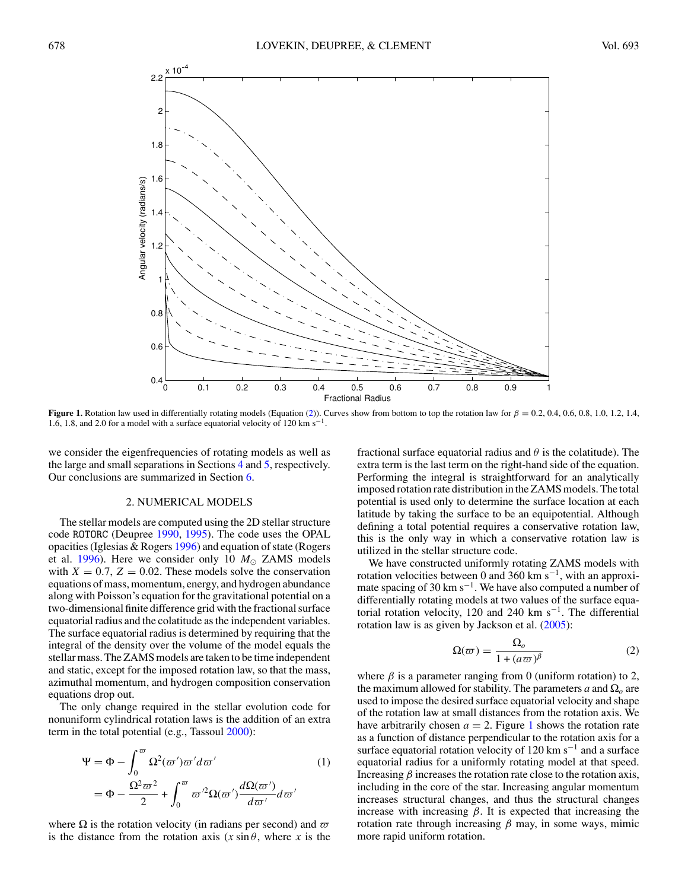<span id="page-1-0"></span>

**Figure 1.** Rotation law used in differentially rotating models (Equation (2)). Curves show from bottom to top the rotation law for  $\beta = 0.2$ , 0.4, 0.6, 0.8, 1.0, 1.2, 1.4, 1.6, 1.8, and 2.0 for a model with a surface equatorial velocity of 120 km s<sup> $-1$ </sup>.

we consider the eigenfrequencies of rotating models as well as the large and small separations in Sections [4](#page-7-0) and [5,](#page-12-0) respectively. Our conclusions are summarized in Section [6.](#page-13-0)

## 2. NUMERICAL MODELS

The stellar models are computed using the 2D stellar structure code ROTORC (Deupree [1990,](#page-13-0) [1995\)](#page-13-0). The code uses the OPAL opacities (Iglesias & Rogers [1996\)](#page-13-0) and equation of state (Rogers et al. [1996\)](#page-13-0). Here we consider only 10  $M_{\odot}$  ZAMS models with  $X = 0.7$ ,  $Z = 0.02$ . These models solve the conservation equations of mass, momentum, energy, and hydrogen abundance along with Poisson's equation for the gravitational potential on a two-dimensional finite difference grid with the fractional surface equatorial radius and the colatitude as the independent variables. The surface equatorial radius is determined by requiring that the integral of the density over the volume of the model equals the stellar mass. The ZAMS models are taken to be time independent and static, except for the imposed rotation law, so that the mass, azimuthal momentum, and hydrogen composition conservation equations drop out.

The only change required in the stellar evolution code for nonuniform cylindrical rotation laws is the addition of an extra term in the total potential (e.g., Tassoul [2000\)](#page-13-0):

$$
\Psi = \Phi - \int_0^{\omega} \Omega^2(\omega') \omega' d\omega' \qquad (1)
$$

$$
= \Phi - \frac{\Omega^2 \omega^2}{2} + \int_0^{\omega} \omega'^2 \Omega(\omega') \frac{d\Omega(\omega')}{d\omega'} d\omega'
$$

where  $\Omega$  is the rotation velocity (in radians per second) and  $\varpi$ is the distance from the rotation axis  $(x \sin \theta)$ , where *x* is the fractional surface equatorial radius and *θ* is the colatitude). The extra term is the last term on the right-hand side of the equation. Performing the integral is straightforward for an analytically imposed rotation rate distribution in the ZAMS models. The total potential is used only to determine the surface location at each latitude by taking the surface to be an equipotential. Although defining a total potential requires a conservative rotation law, this is the only way in which a conservative rotation law is utilized in the stellar structure code.

We have constructed uniformly rotating ZAMS models with rotation velocities between 0 and 360 km s<sup>-1</sup>, with an approximate spacing of 30 km s<sup> $-1$ </sup>. We have also computed a number of differentially rotating models at two values of the surface equatorial rotation velocity, 120 and 240 km s<sup>-1</sup>. The differential rotation law is as given by Jackson et al.  $(2005)$ :

$$
\Omega(\varpi) = \frac{\Omega_o}{1 + (a\varpi)^\beta} \tag{2}
$$

where  $\beta$  is a parameter ranging from 0 (uniform rotation) to 2, the maximum allowed for stability. The parameters  $a$  and  $\Omega_0$  are used to impose the desired surface equatorial velocity and shape of the rotation law at small distances from the rotation axis. We have arbitrarily chosen  $a = 2$ . Figure 1 shows the rotation rate as a function of distance perpendicular to the rotation axis for a surface equatorial rotation velocity of 120 km s<sup> $-1$ </sup> and a surface equatorial radius for a uniformly rotating model at that speed. Increasing *β* increases the rotation rate close to the rotation axis, including in the core of the star. Increasing angular momentum increases structural changes, and thus the structural changes increase with increasing *β*. It is expected that increasing the rotation rate through increasing *β* may, in some ways, mimic more rapid uniform rotation.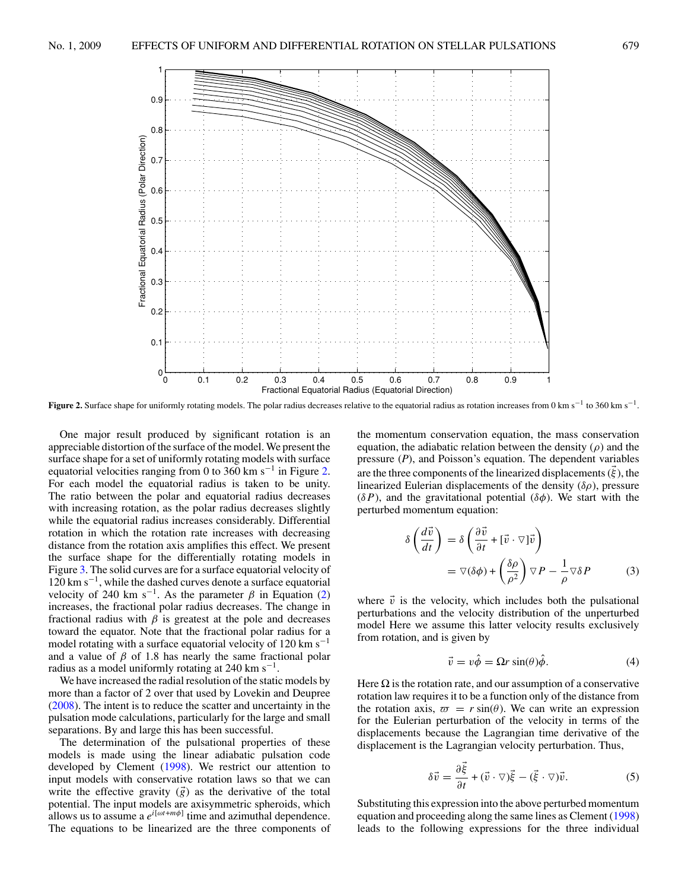<span id="page-2-0"></span>

**Figure 2.** Surface shape for uniformly rotating models. The polar radius decreases relative to the equatorial radius as rotation increases from 0 km s−<sup>1</sup> to 360 km s−1.

One major result produced by significant rotation is an appreciable distortion of the surface of the model. We present the surface shape for a set of uniformly rotating models with surface equatorial velocities ranging from 0 to 360 km s<sup> $-1$ </sup> in Figure 2. For each model the equatorial radius is taken to be unity. The ratio between the polar and equatorial radius decreases with increasing rotation, as the polar radius decreases slightly while the equatorial radius increases considerably. Differential rotation in which the rotation rate increases with decreasing distance from the rotation axis amplifies this effect. We present the surface shape for the differentially rotating models in Figure [3.](#page-3-0) The solid curves are for a surface equatorial velocity of  $120 \text{ km s}^{-1}$ , while the dashed curves denote a surface equatorial velocity of 240 km s<sup>-1</sup>. As the parameter  $\beta$  in Equation [\(2\)](#page-1-0) increases, the fractional polar radius decreases. The change in fractional radius with  $\beta$  is greatest at the pole and decreases toward the equator. Note that the fractional polar radius for a model rotating with a surface equatorial velocity of 120 km s<sup> $-1$ </sup> and a value of *β* of 1.8 has nearly the same fractional polar radius as a model uniformly rotating at 240 km s<sup> $-1$ </sup>.

We have increased the radial resolution of the static models by more than a factor of 2 over that used by Lovekin and Deupree [\(2008\)](#page-13-0). The intent is to reduce the scatter and uncertainty in the pulsation mode calculations, particularly for the large and small separations. By and large this has been successful.

The determination of the pulsational properties of these models is made using the linear adiabatic pulsation code developed by Clement [\(1998\)](#page-13-0). We restrict our attention to input models with conservative rotation laws so that we can write the effective gravity  $(\vec{g})$  as the derivative of the total potential. The input models are axisymmetric spheroids, which allows us to assume a  $e^{i[\omega t + m\phi]}$  time and azimuthal dependence. The equations to be linearized are the three components of

the momentum conservation equation, the mass conservation equation, the adiabatic relation between the density (*ρ*) and the pressure (*P*), and Poisson's equation. The dependent variables are the three components of the linearized displacements (*ξ* ), the linearized Eulerian displacements of the density (*δρ*), pressure (*δP*), and the gravitational potential (*δφ*). We start with the perturbed momentum equation:

$$
\delta \left( \frac{d\vec{v}}{dt} \right) = \delta \left( \frac{\partial \vec{v}}{\partial t} + [\vec{v} \cdot \nabla] \vec{v} \right)
$$
  
=  $\nabla (\delta \phi) + \left( \frac{\delta \rho}{\rho^2} \right) \nabla P - \frac{1}{\rho} \nabla \delta P$  (3)

where  $\vec{v}$  is the velocity, which includes both the pulsational perturbations and the velocity distribution of the unperturbed model Here we assume this latter velocity results exclusively from rotation, and is given by

$$
\vec{v} = v\hat{\phi} = \Omega r \sin(\theta)\hat{\phi}.
$$
 (4)

Here  $\Omega$  is the rotation rate, and our assumption of a conservative rotation law requires it to be a function only of the distance from the rotation axis,  $\varpi = r \sin(\theta)$ . We can write an expression for the Eulerian perturbation of the velocity in terms of the displacements because the Lagrangian time derivative of the displacement is the Lagrangian velocity perturbation. Thus,

$$
\delta \vec{v} = \frac{\partial \vec{\xi}}{\partial t} + (\vec{v} \cdot \nabla)\vec{\xi} - (\vec{\xi} \cdot \nabla)\vec{v}.
$$
 (5)

Substituting this expression into the above perturbed momentum equation and proceeding along the same lines as Clement [\(1998\)](#page-13-0) leads to the following expressions for the three individual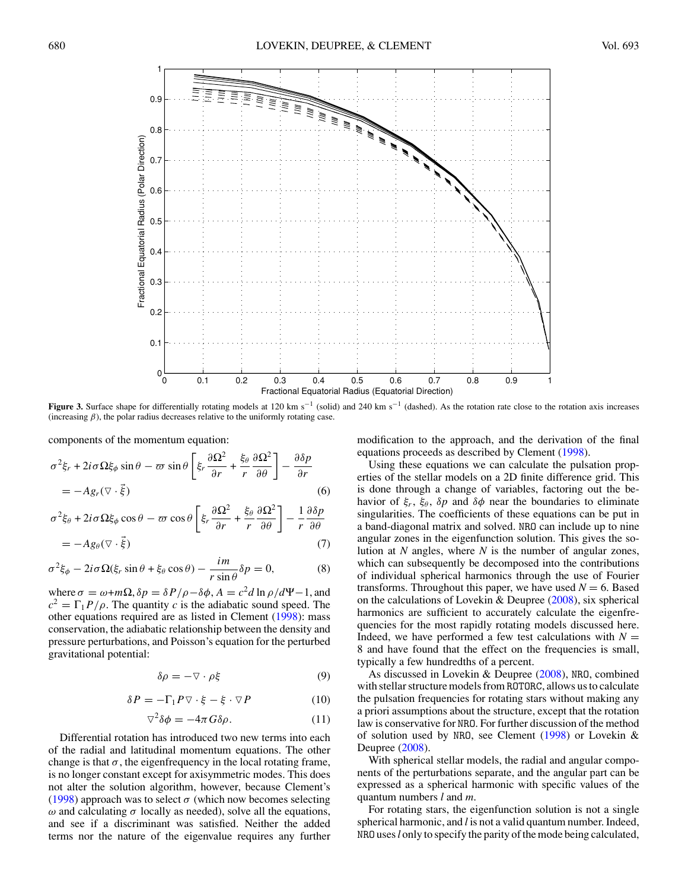<span id="page-3-0"></span>

**Figure 3.** Surface shape for differentially rotating models at 120 km s<sup>-1</sup> (solid) and 240 km s<sup>-1</sup> (dashed). As the rotation rate close to the rotation axis increases (increasing  $\beta$ ), the polar radius decreases relative to the uniformly rotating case.

components of the momentum equation:

$$
\sigma^{2}\xi_{r} + 2i\sigma\Omega\xi_{\phi}\sin\theta - \varpi\sin\theta\left[\xi_{r}\frac{\partial\Omega^{2}}{\partial r} + \frac{\xi_{\theta}}{r}\frac{\partial\Omega^{2}}{\partial \theta}\right] - \frac{\partial\delta p}{\partial r}
$$
  
=  $-Ag_{r}(\nabla\cdot\vec{\xi})$  (6)

$$
\sigma^{2}\xi_{\theta} + 2i\sigma\Omega\xi_{\phi}\cos\theta - \varpi\cos\theta \left[\xi_{r}\frac{\partial\Omega^{2}}{\partial r} + \frac{\xi_{\theta}}{r}\frac{\partial\Omega^{2}}{\partial\theta}\right] - \frac{1}{r}\frac{\partial\delta p}{\partial\theta}
$$
  
=  $-Ag_{\theta}(\nabla\cdot\vec{\xi})$  (7)

$$
\sigma^2 \xi_{\phi} - 2i\sigma \Omega(\xi_r \sin \theta + \xi_{\theta} \cos \theta) - \frac{im}{r \sin \theta} \delta p = 0,
$$
 (8)

where  $\sigma = \omega + m\Omega$ ,  $\delta p = \delta P/\rho - \delta \phi$ ,  $A = c^2 d \ln \rho/d\Psi - 1$ , and  $c^2 = \Gamma_1 P/\rho$ . The quantity *c* is the adiabatic sound speed. The other equations required are as listed in Clement [\(1998\)](#page-13-0): mass conservation, the adiabatic relationship between the density and pressure perturbations, and Poisson's equation for the perturbed gravitational potential:

$$
\delta \rho = -\nabla \cdot \rho \xi \tag{9}
$$

$$
\delta P = -\Gamma_1 P \nabla \cdot \xi - \xi \cdot \nabla P \tag{10}
$$

$$
\nabla^2 \delta \phi = -4\pi G \delta \rho. \tag{11}
$$

Differential rotation has introduced two new terms into each of the radial and latitudinal momentum equations. The other change is that  $\sigma$ , the eigenfrequency in the local rotating frame, is no longer constant except for axisymmetric modes. This does not alter the solution algorithm, however, because Clement's [\(1998\)](#page-13-0) approach was to select  $\sigma$  (which now becomes selecting  $ω$  and calculating  $σ$  locally as needed), solve all the equations, and see if a discriminant was satisfied. Neither the added terms nor the nature of the eigenvalue requires any further

modification to the approach, and the derivation of the final equations proceeds as described by Clement [\(1998\)](#page-13-0).

Using these equations we can calculate the pulsation properties of the stellar models on a 2D finite difference grid. This is done through a change of variables, factoring out the behavior of  $\xi_r$ ,  $\xi_\theta$ ,  $\delta p$  and  $\delta \phi$  near the boundaries to eliminate singularities. The coefficients of these equations can be put in a band-diagonal matrix and solved. NRO can include up to nine angular zones in the eigenfunction solution. This gives the solution at *N* angles, where *N* is the number of angular zones, which can subsequently be decomposed into the contributions of individual spherical harmonics through the use of Fourier transforms. Throughout this paper, we have used  $N = 6$ . Based on the calculations of Lovekin & Deupree [\(2008\)](#page-13-0), six spherical harmonics are sufficient to accurately calculate the eigenfrequencies for the most rapidly rotating models discussed here. Indeed, we have performed a few test calculations with  $N =$ 8 and have found that the effect on the frequencies is small, typically a few hundredths of a percent.

As discussed in Lovekin & Deupree [\(2008\)](#page-13-0), NR0, combined with stellar structure models from ROTORC, allows us to calculate the pulsation frequencies for rotating stars without making any a priori assumptions about the structure, except that the rotation law is conservative for NRO. For further discussion of the method of solution used by NRO, see Clement [\(1998\)](#page-13-0) or Lovekin & Deupree [\(2008\)](#page-13-0).

With spherical stellar models, the radial and angular components of the perturbations separate, and the angular part can be expressed as a spherical harmonic with specific values of the quantum numbers *l* and *m*.

For rotating stars, the eigenfunction solution is not a single spherical harmonic, and *l* is not a valid quantum number. Indeed, NRO uses*l* only to specify the parity of the mode being calculated,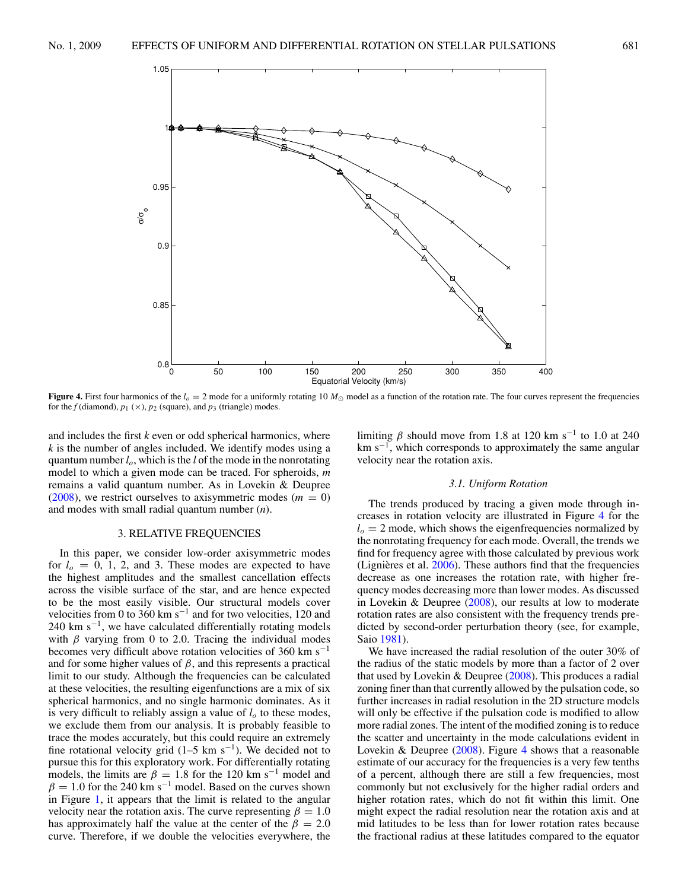<span id="page-4-0"></span>

**Figure 4.** First four harmonics of the  $l_0 = 2$  mode for a uniformly rotating 10  $M_{\odot}$  model as a function of the rotation rate. The four curves represent the frequencies for the  $f$  (diamond),  $p_1$  ( $\times$ ),  $p_2$  (square), and  $p_3$  (triangle) modes.

and includes the first *k* even or odd spherical harmonics, where *k* is the number of angles included. We identify modes using a quantum number *lo*, which is the *l* of the mode in the nonrotating model to which a given mode can be traced. For spheroids, *m* remains a valid quantum number. As in Lovekin & Deupree  $(2008)$ , we restrict ourselves to axisymmetric modes  $(m = 0)$ and modes with small radial quantum number (*n*).

## 3. RELATIVE FREQUENCIES

In this paper, we consider low-order axisymmetric modes for  $l<sub>o</sub> = 0, 1, 2,$  and 3. These modes are expected to have the highest amplitudes and the smallest cancellation effects across the visible surface of the star, and are hence expected to be the most easily visible. Our structural models cover velocities from 0 to 360 km s<sup> $-1$ </sup> and for two velocities, 120 and 240 km s<sup> $-1$ </sup>, we have calculated differentially rotating models with  $\beta$  varying from 0 to 2.0. Tracing the individual modes becomes very difficult above rotation velocities of 360 km s<sup> $-1$ </sup> and for some higher values of  $\beta$ , and this represents a practical limit to our study. Although the frequencies can be calculated at these velocities, the resulting eigenfunctions are a mix of six spherical harmonics, and no single harmonic dominates. As it is very difficult to reliably assign a value of  $l<sub>o</sub>$  to these modes, we exclude them from our analysis. It is probably feasible to trace the modes accurately, but this could require an extremely fine rotational velocity grid  $(1–5 \text{ km s}^{-1})$ . We decided not to pursue this for this exploratory work. For differentially rotating models, the limits are  $\beta = 1.8$  for the 120 km s<sup>-1</sup> model and  $\beta = 1.0$  for the 240 km s<sup>-1</sup> model. Based on the curves shown in Figure [1,](#page-1-0) it appears that the limit is related to the angular velocity near the rotation axis. The curve representing  $\beta = 1.0$ has approximately half the value at the center of the  $\beta = 2.0$ curve. Therefore, if we double the velocities everywhere, the

limiting  $\beta$  should move from 1.8 at 120 km s<sup>-1</sup> to 1.0 at 240  $km s<sup>-1</sup>$ , which corresponds to approximately the same angular velocity near the rotation axis.

### *3.1. Uniform Rotation*

The trends produced by tracing a given mode through increases in rotation velocity are illustrated in Figure 4 for the  $l<sub>o</sub> = 2$  mode, which shows the eigenfrequencies normalized by the nonrotating frequency for each mode. Overall, the trends we find for frequency agree with those calculated by previous work (Lignières et al.  $2006$ ). These authors find that the frequencies decrease as one increases the rotation rate, with higher frequency modes decreasing more than lower modes. As discussed in Lovekin & Deupree [\(2008\)](#page-13-0), our results at low to moderate rotation rates are also consistent with the frequency trends predicted by second-order perturbation theory (see, for example, Saio [1981\)](#page-13-0).

We have increased the radial resolution of the outer 30% of the radius of the static models by more than a factor of 2 over that used by Lovekin & Deupree [\(2008\)](#page-13-0). This produces a radial zoning finer than that currently allowed by the pulsation code, so further increases in radial resolution in the 2D structure models will only be effective if the pulsation code is modified to allow more radial zones. The intent of the modified zoning is to reduce the scatter and uncertainty in the mode calculations evident in Lovekin & Deupree  $(2008)$ . Figure 4 shows that a reasonable estimate of our accuracy for the frequencies is a very few tenths of a percent, although there are still a few frequencies, most commonly but not exclusively for the higher radial orders and higher rotation rates, which do not fit within this limit. One might expect the radial resolution near the rotation axis and at mid latitudes to be less than for lower rotation rates because the fractional radius at these latitudes compared to the equator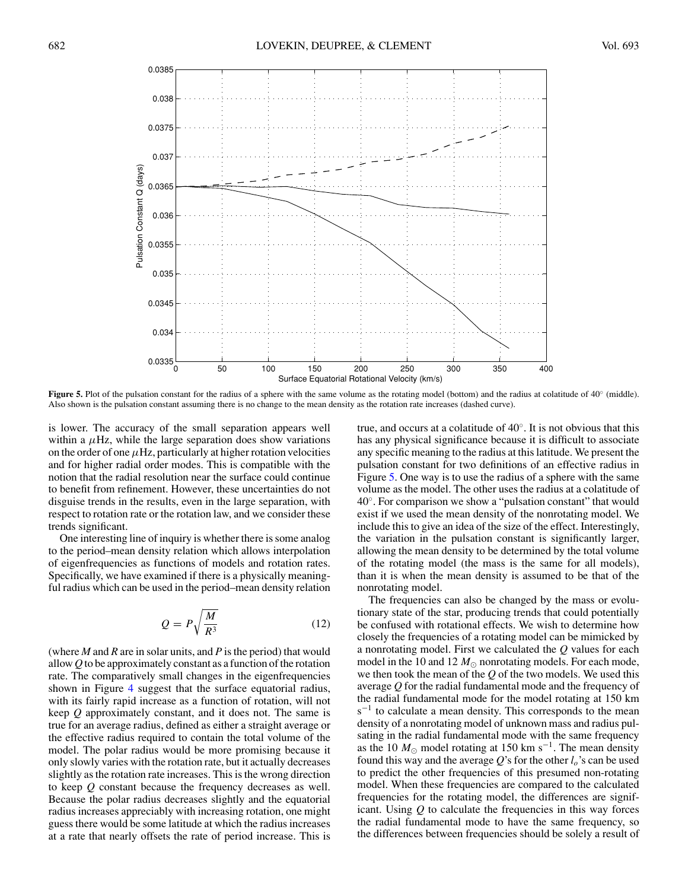

**Figure 5.** Plot of the pulsation constant for the radius of a sphere with the same volume as the rotating model (bottom) and the radius at colatitude of 40◦ (middle). Also shown is the pulsation constant assuming there is no change to the mean density as the rotation rate increases (dashed curve).

is lower. The accuracy of the small separation appears well within a  $\mu$ Hz, while the large separation does show variations on the order of one  $\mu$ Hz, particularly at higher rotation velocities and for higher radial order modes. This is compatible with the notion that the radial resolution near the surface could continue to benefit from refinement. However, these uncertainties do not disguise trends in the results, even in the large separation, with respect to rotation rate or the rotation law, and we consider these trends significant.

One interesting line of inquiry is whether there is some analog to the period–mean density relation which allows interpolation of eigenfrequencies as functions of models and rotation rates. Specifically, we have examined if there is a physically meaningful radius which can be used in the period–mean density relation

$$
Q = P \sqrt{\frac{M}{R^3}} \tag{12}
$$

(where *M* and *R* are in solar units, and *P* is the period) that would allow *Q* to be approximately constant as a function of the rotation rate. The comparatively small changes in the eigenfrequencies shown in Figure [4](#page-4-0) suggest that the surface equatorial radius, with its fairly rapid increase as a function of rotation, will not keep *Q* approximately constant, and it does not. The same is true for an average radius, defined as either a straight average or the effective radius required to contain the total volume of the model. The polar radius would be more promising because it only slowly varies with the rotation rate, but it actually decreases slightly as the rotation rate increases. This is the wrong direction to keep *Q* constant because the frequency decreases as well. Because the polar radius decreases slightly and the equatorial radius increases appreciably with increasing rotation, one might guess there would be some latitude at which the radius increases at a rate that nearly offsets the rate of period increase. This is true, and occurs at a colatitude of 40◦. It is not obvious that this has any physical significance because it is difficult to associate any specific meaning to the radius at this latitude. We present the pulsation constant for two definitions of an effective radius in Figure 5. One way is to use the radius of a sphere with the same volume as the model. The other uses the radius at a colatitude of 40◦. For comparison we show a "pulsation constant" that would exist if we used the mean density of the nonrotating model. We include this to give an idea of the size of the effect. Interestingly, the variation in the pulsation constant is significantly larger, allowing the mean density to be determined by the total volume of the rotating model (the mass is the same for all models), than it is when the mean density is assumed to be that of the nonrotating model.

The frequencies can also be changed by the mass or evolutionary state of the star, producing trends that could potentially be confused with rotational effects. We wish to determine how closely the frequencies of a rotating model can be mimicked by a nonrotating model. First we calculated the *Q* values for each model in the 10 and 12  $M_{\odot}$  nonrotating models. For each mode, we then took the mean of the *Q* of the two models. We used this average *Q* for the radial fundamental mode and the frequency of the radial fundamental mode for the model rotating at 150 km  $s^{-1}$  to calculate a mean density. This corresponds to the mean density of a nonrotating model of unknown mass and radius pulsating in the radial fundamental mode with the same frequency as the 10  $M_{\odot}$  model rotating at 150 km s<sup>-1</sup>. The mean density found this way and the average  $Q$ 's for the other  $l_o$ 's can be used to predict the other frequencies of this presumed non-rotating model. When these frequencies are compared to the calculated frequencies for the rotating model, the differences are significant. Using *Q* to calculate the frequencies in this way forces the radial fundamental mode to have the same frequency, so the differences between frequencies should be solely a result of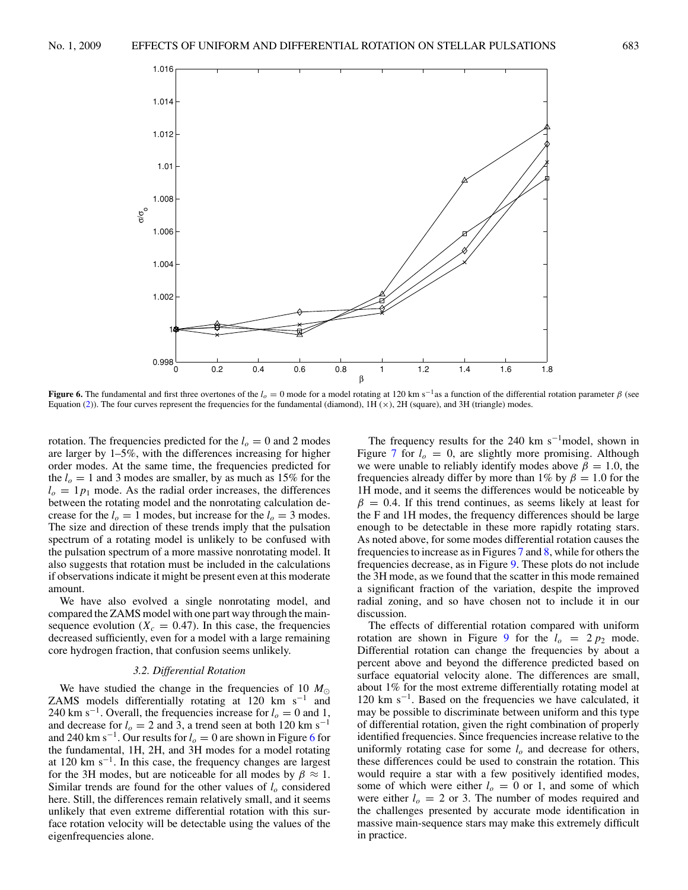

**Figure 6.** The fundamental and first three overtones of the  $l<sub>o</sub> = 0$  mode for a model rotating at 120 km s<sup>−1</sup>as a function of the differential rotation parameter *β* (see Equation [\(2\)](#page-1-0)). The four curves represent the frequencies for the fundamental (diamond),  $1H(x)$ ,  $2H$  (square), and  $3H$  (triangle) modes.

0 0.2 0.4 0.6 0.8 1 1.2 1.4 1.6 1.8

β

rotation. The frequencies predicted for the  $l<sub>o</sub> = 0$  and 2 modes are larger by 1–5%, with the differences increasing for higher order modes. At the same time, the frequencies predicted for the  $l<sub>o</sub> = 1$  and 3 modes are smaller, by as much as 15% for the  $l_0 = 1p_1$  mode. As the radial order increases, the differences between the rotating model and the nonrotating calculation decrease for the  $l_0 = 1$  modes, but increase for the  $l_0 = 3$  modes. The size and direction of these trends imply that the pulsation spectrum of a rotating model is unlikely to be confused with the pulsation spectrum of a more massive nonrotating model. It also suggests that rotation must be included in the calculations if observations indicate it might be present even at this moderate amount.

 $0.998<sub>0</sub>$ 

 $σ<sup>0</sup>$ 

We have also evolved a single nonrotating model, and compared the ZAMS model with one part way through the mainsequence evolution  $(X_c = 0.47)$ . In this case, the frequencies decreased sufficiently, even for a model with a large remaining core hydrogen fraction, that confusion seems unlikely.

### *3.2. Differential Rotation*

We have studied the change in the frequencies of 10  $M_{\odot}$ ZAMS models differentially rotating at 120 km s<sup>-1</sup> and 240 km s<sup>-1</sup>. Overall, the frequencies increase for  $l_0 = 0$  and 1, and decrease for  $l_0 = 2$  and 3, a trend seen at both 120 km s<sup>-1</sup> and 240 km s<sup>-1</sup>. Our results for  $l<sub>o</sub> = 0$  are shown in Figure 6 for the fundamental, 1H, 2H, and 3H modes for a model rotating at 120 km s<sup> $-1$ </sup>. In this case, the frequency changes are largest for the 3H modes, but are noticeable for all modes by  $\beta \approx 1$ . Similar trends are found for the other values of  $l<sub>o</sub>$  considered here. Still, the differences remain relatively small, and it seems unlikely that even extreme differential rotation with this surface rotation velocity will be detectable using the values of the eigenfrequencies alone.

The frequency results for the 240 km s<sup> $-1$ </sup>model, shown in Figure [7](#page-7-0) for  $l_0 = 0$ , are slightly more promising. Although we were unable to reliably identify modes above  $\beta = 1.0$ , the frequencies already differ by more than 1% by  $\beta = 1.0$  for the 1H mode, and it seems the differences would be noticeable by  $\beta = 0.4$ . If this trend continues, as seems likely at least for the F and 1H modes, the frequency differences should be large enough to be detectable in these more rapidly rotating stars. As noted above, for some modes differential rotation causes the frequencies to increase as in Figures [7](#page-7-0) and [8,](#page-7-0) while for others the frequencies decrease, as in Figure [9.](#page-8-0) These plots do not include the 3H mode, as we found that the scatter in this mode remained a significant fraction of the variation, despite the improved radial zoning, and so have chosen not to include it in our discussion.

The effects of differential rotation compared with uniform rotation are shown in Figure [9](#page-8-0) for the  $l_0 = 2 p_2$  mode. Differential rotation can change the frequencies by about a percent above and beyond the difference predicted based on surface equatorial velocity alone. The differences are small, about 1% for the most extreme differentially rotating model at 120 km s−1. Based on the frequencies we have calculated, it may be possible to discriminate between uniform and this type of differential rotation, given the right combination of properly identified frequencies. Since frequencies increase relative to the uniformly rotating case for some  $l<sub>o</sub>$  and decrease for others, these differences could be used to constrain the rotation. This would require a star with a few positively identified modes, some of which were either  $l<sub>o</sub> = 0$  or 1, and some of which were either  $l_0 = 2$  or 3. The number of modes required and the challenges presented by accurate mode identification in massive main-sequence stars may make this extremely difficult in practice.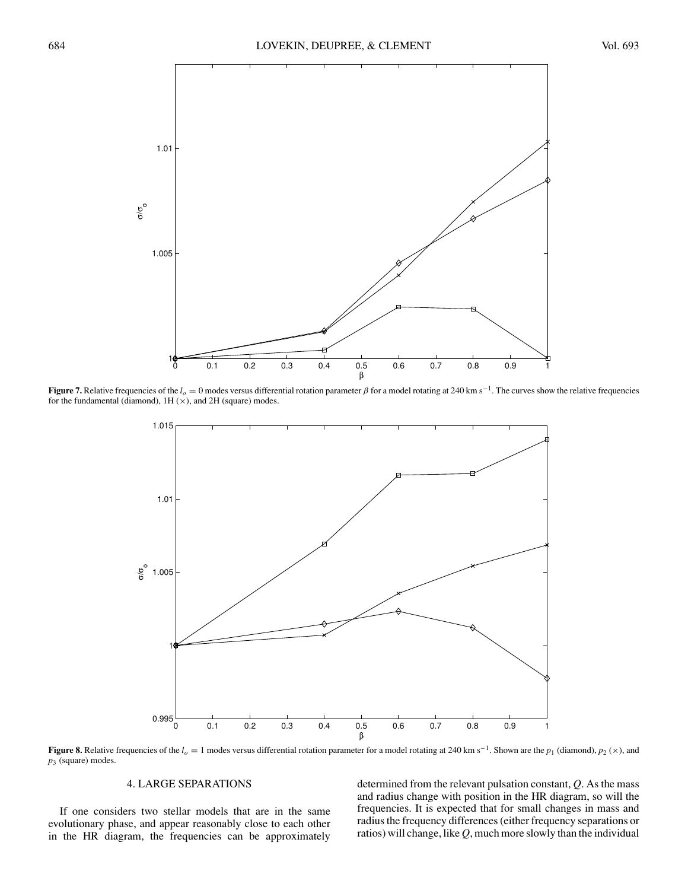<span id="page-7-0"></span>

**Figure 7.** Relative frequencies of the  $l_0 = 0$  modes versus differential rotation parameter  $\beta$  for a model rotating at 240 km s<sup>-1</sup>. The curves show the relative frequencies for the fundamental (diamond),  $1H(x)$ , and  $2H$  (square) modes.



**Figure 8.** Relative frequencies of the *lo* <sup>=</sup> 1 modes versus differential rotation parameter for a model rotating at 240 km s−1. Shown are the *<sup>p</sup>*<sup>1</sup> (diamond), *<sup>p</sup>*<sup>2</sup> (×), and *p*<sup>3</sup> (square) modes.

## 4. LARGE SEPARATIONS

If one considers two stellar models that are in the same evolutionary phase, and appear reasonably close to each other in the HR diagram, the frequencies can be approximately

determined from the relevant pulsation constant, *Q*. As the mass and radius change with position in the HR diagram, so will the frequencies. It is expected that for small changes in mass and radius the frequency differences (either frequency separations or ratios) will change, like *Q*, much more slowly than the individual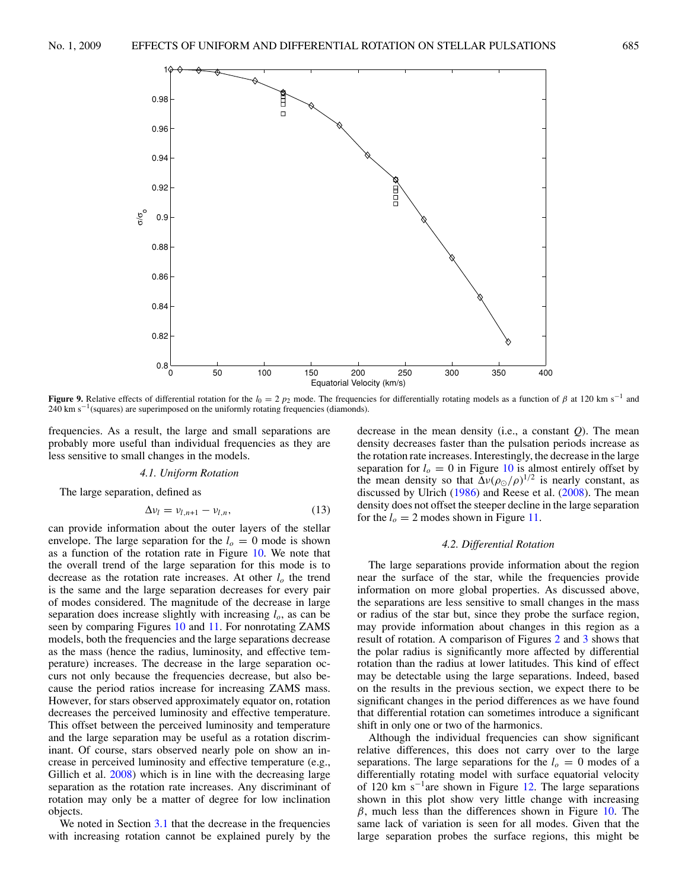<span id="page-8-0"></span>

**Figure 9.** Relative effects of differential rotation for the  $l_0 = 2 p_2$  mode. The frequencies for differentially rotating models as a function of  $\beta$  at 120 km s<sup>-1</sup> and  $240 \text{ km s}^{-1}$ (squares) are superimposed on the uniformly rotating frequencies (diamonds).

frequencies. As a result, the large and small separations are probably more useful than individual frequencies as they are less sensitive to small changes in the models.

#### *4.1. Uniform Rotation*

The large separation, defined as

$$
\Delta v_l = v_{l,n+1} - v_{l,n}, \qquad (13)
$$

can provide information about the outer layers of the stellar envelope. The large separation for the  $l<sub>o</sub> = 0$  mode is shown as a function of the rotation rate in Figure [10.](#page-9-0) We note that the overall trend of the large separation for this mode is to decrease as the rotation rate increases. At other  $l<sub>o</sub>$  the trend is the same and the large separation decreases for every pair of modes considered. The magnitude of the decrease in large separation does increase slightly with increasing  $l<sub>o</sub>$ , as can be seen by comparing Figures [10](#page-9-0) and [11.](#page-9-0) For nonrotating ZAMS models, both the frequencies and the large separations decrease as the mass (hence the radius, luminosity, and effective temperature) increases. The decrease in the large separation occurs not only because the frequencies decrease, but also because the period ratios increase for increasing ZAMS mass. However, for stars observed approximately equator on, rotation decreases the perceived luminosity and effective temperature. This offset between the perceived luminosity and temperature and the large separation may be useful as a rotation discriminant. Of course, stars observed nearly pole on show an increase in perceived luminosity and effective temperature (e.g., Gillich et al. [2008\)](#page-13-0) which is in line with the decreasing large separation as the rotation rate increases. Any discriminant of rotation may only be a matter of degree for low inclination objects.

We noted in Section [3.1](#page-4-0) that the decrease in the frequencies with increasing rotation cannot be explained purely by the

decrease in the mean density (i.e., a constant *Q*). The mean density decreases faster than the pulsation periods increase as the rotation rate increases. Interestingly, the decrease in the large separation for  $l<sub>o</sub> = 0$  in Figure [10](#page-9-0) is almost entirely offset by the mean density so that  $\Delta v (\rho_{\odot}/\rho)^{1/2}$  is nearly constant, as discussed by Ulrich [\(1986\)](#page-13-0) and Reese et al. [\(2008\)](#page-13-0). The mean density does not offset the steeper decline in the large separation for the  $l_o = 2$  modes shown in Figure [11.](#page-9-0)

#### *4.2. Differential Rotation*

The large separations provide information about the region near the surface of the star, while the frequencies provide information on more global properties. As discussed above, the separations are less sensitive to small changes in the mass or radius of the star but, since they probe the surface region, may provide information about changes in this region as a result of rotation. A comparison of Figures [2](#page-2-0) and [3](#page-3-0) shows that the polar radius is significantly more affected by differential rotation than the radius at lower latitudes. This kind of effect may be detectable using the large separations. Indeed, based on the results in the previous section, we expect there to be significant changes in the period differences as we have found that differential rotation can sometimes introduce a significant shift in only one or two of the harmonics.

Although the individual frequencies can show significant relative differences, this does not carry over to the large separations. The large separations for the  $l_0 = 0$  modes of a differentially rotating model with surface equatorial velocity of 120 km s<sup> $-1$ </sup>are shown in Figure [12.](#page-10-0) The large separations shown in this plot show very little change with increasing *β*, much less than the differences shown in Figure [10.](#page-9-0) The same lack of variation is seen for all modes. Given that the large separation probes the surface regions, this might be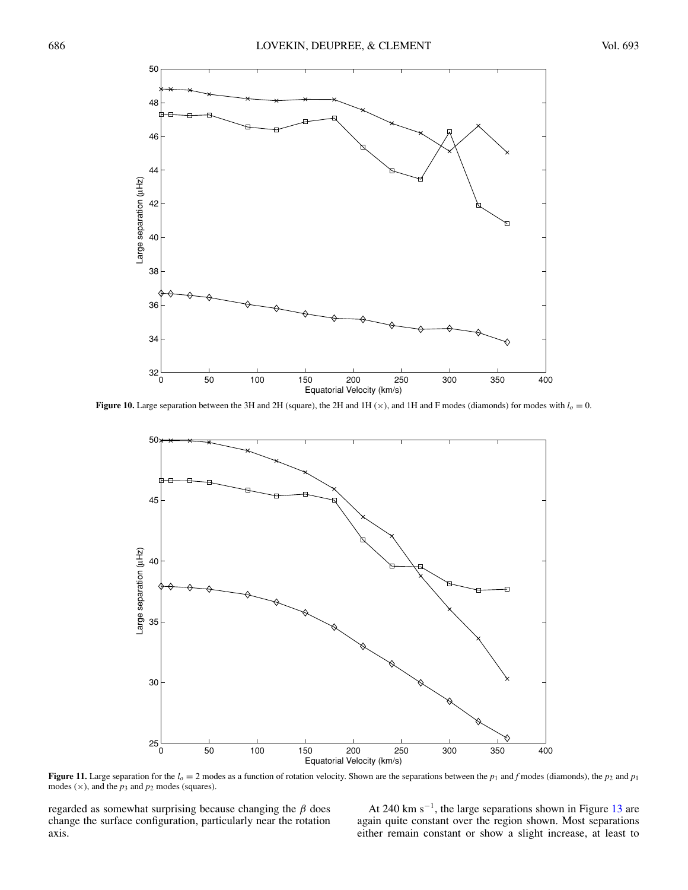<span id="page-9-0"></span>

**Figure 10.** Large separation between the 3H and 2H (square), the 2H and 1H ( $\times$ ), and 1H and F modes (diamonds) for modes with  $l<sub>o</sub> = 0$ .



**Figure 11.** Large separation for the  $l_0 = 2$  modes as a function of rotation velocity. Shown are the separations between the  $p_1$  and *f* modes (diamonds), the  $p_2$  and  $p_1$ modes  $(x)$ , and the  $p_3$  and  $p_2$  modes (squares).

regarded as somewhat surprising because changing the *β* does change the surface configuration, particularly near the rotation axis.

At 240 km s<sup> $-1$ </sup>, the large separations shown in Figure [13](#page-10-0) are again quite constant over the region shown. Most separations either remain constant or show a slight increase, at least to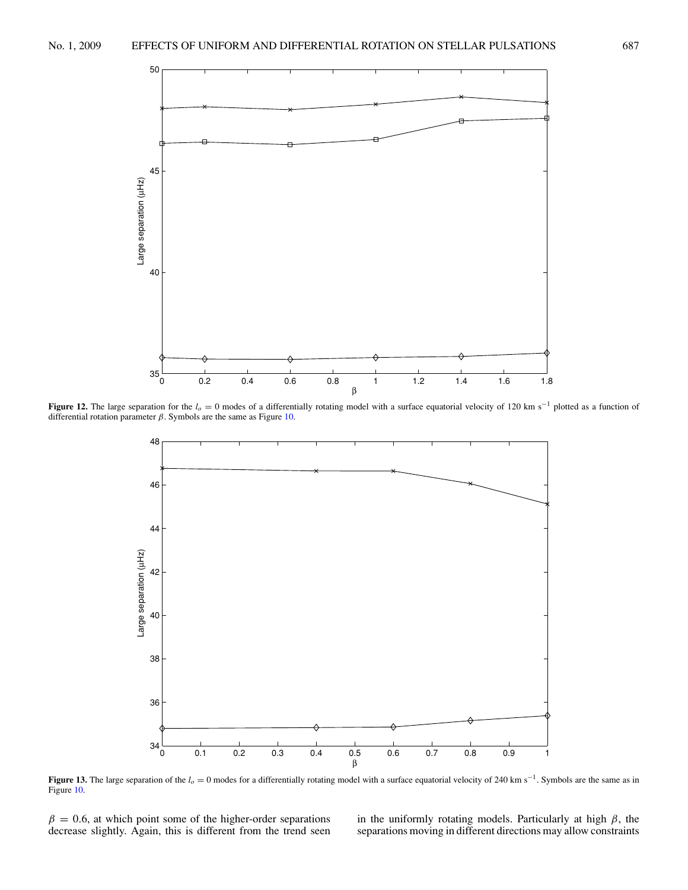<span id="page-10-0"></span>

**Figure 12.** The large separation for the *lo* <sup>=</sup> 0 modes of a differentially rotating model with a surface equatorial velocity of 120 km s−<sup>1</sup> plotted as a function of differential rotation parameter *β*. Symbols are the same as Figure [10.](#page-9-0)



**Figure 13.** The large separation of the  $l_o = 0$  modes for a differentially rotating model with a surface equatorial velocity of 240 km s<sup>−1</sup>. Symbols are the same as in Figure [10.](#page-9-0)

 $\beta = 0.6$ , at which point some of the higher-order separations decrease slightly. Again, this is different from the trend seen

in the uniformly rotating models. Particularly at high *β*, the separations moving in different directions may allow constraints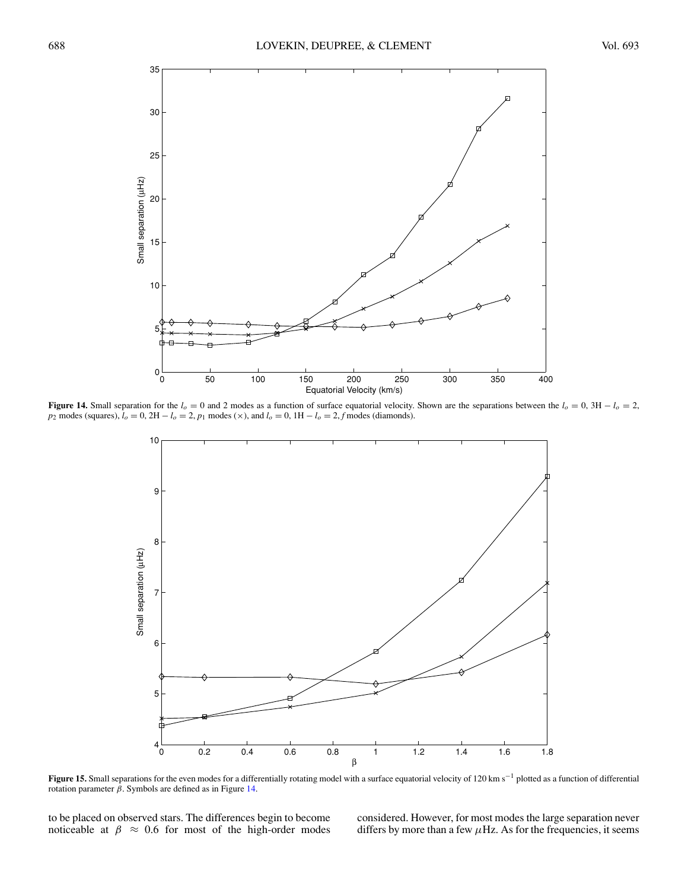<span id="page-11-0"></span>

**Figure 14.** Small separation for the  $l_0 = 0$  and 2 modes as a function of surface equatorial velocity. Shown are the separations between the  $l_0 = 0$ , 3H  $- l_0 = 2$ , *p*<sub>2</sub> modes (squares), *l<sub>o</sub>* = 0, 2H − *l<sub>o</sub>* = 2, *p*<sub>1</sub> modes (×), and *l<sub>o</sub>* = 0, 1H − *l<sub>o</sub>* = 2, *f* modes (diamonds).



**Figure 15.** Small separations for the even modes for a differentially rotating model with a surface equatorial velocity of 120 km s−<sup>1</sup> plotted as a function of differential rotation parameter  $β$ . Symbols are defined as in Figure 14.

to be placed on observed stars. The differences begin to become noticeable at  $\beta \approx 0.6$  for most of the high-order modes considered. However, for most modes the large separation never differs by more than a few  $\mu$ Hz. As for the frequencies, it seems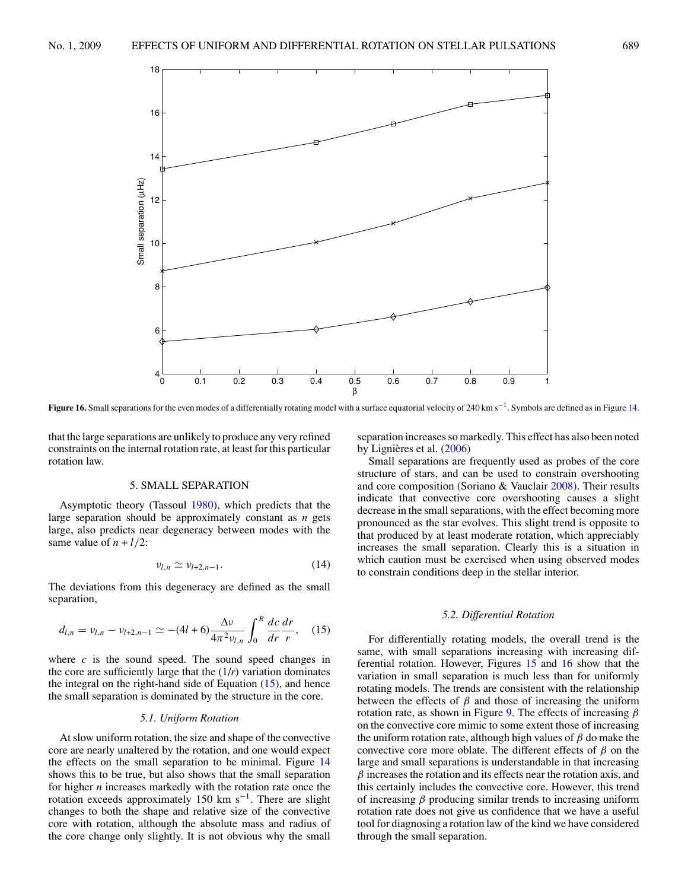<span id="page-12-0"></span>

**Figure 16.** Small separations for the even modes of a differentially rotating model with a surface equatorial velocity of 240 km s−1. Symbols are defined as in Figure [14.](#page-11-0)

that the large separations are unlikely to produce any very refined constraints on the internal rotation rate, at least for this particular rotation law.

#### 5. SMALL SEPARATION

Asymptotic theory (Tassoul [1980\)](#page-13-0), which predicts that the large separation should be approximately constant as *n* gets large, also predicts near degeneracy between modes with the same value of  $n + l/2$ :

$$
\nu_{l,n} \simeq \nu_{l+2,n-1}.\tag{14}
$$

The deviations from this degeneracy are defined as the small separation,

$$
d_{l,n} = v_{l,n} - v_{l+2,n-1} \simeq -(4l+6)\frac{\Delta v}{4\pi^2 v_{l,n}} \int_0^R \frac{dc}{dr} \frac{dr}{r}, \quad (15)
$$

where  $c$  is the sound speed. The sound speed changes in the core are sufficiently large that the  $(1/r)$  variation dominates the integral on the right-hand side of Equation  $(15)$ , and hence the small separation is dominated by the structure in the core.

### *5.1. Uniform Rotation*

At slow uniform rotation, the size and shape of the convective core are nearly unaltered by the rotation, and one would expect the effects on the small separation to be minimal. Figure [14](#page-11-0) shows this to be true, but also shows that the small separation for higher *n* increases markedly with the rotation rate once the rotation exceeds approximately 150 km s−1. There are slight changes to both the shape and relative size of the convective core with rotation, although the absolute mass and radius of the core change only slightly. It is not obvious why the small

separation increases so markedly. This effect has also been noted by Lignières et al.  $(2006)$  $(2006)$ 

Small separations are frequently used as probes of the core structure of stars, and can be used to constrain overshooting and core composition (Soriano & Vauclair [2008\)](#page-13-0). Their results indicate that convective core overshooting causes a slight decrease in the small separations, with the effect becoming more pronounced as the star evolves. This slight trend is opposite to that produced by at least moderate rotation, which appreciably increases the small separation. Clearly this is a situation in which caution must be exercised when using observed modes to constrain conditions deep in the stellar interior.

## *5.2. Differential Rotation*

For differentially rotating models, the overall trend is the same, with small separations increasing with increasing differential rotation. However, Figures [15](#page-11-0) and 16 show that the variation in small separation is much less than for uniformly rotating models. The trends are consistent with the relationship between the effects of  $\beta$  and those of increasing the uniform rotation rate, as shown in Figure [9.](#page-8-0) The effects of increasing *β* on the convective core mimic to some extent those of increasing the uniform rotation rate, although high values of *β* do make the convective core more oblate. The different effects of *β* on the large and small separations is understandable in that increasing *β* increases the rotation and its effects near the rotation axis, and this certainly includes the convective core. However, this trend of increasing *β* producing similar trends to increasing uniform rotation rate does not give us confidence that we have a useful tool for diagnosing a rotation law of the kind we have considered through the small separation.